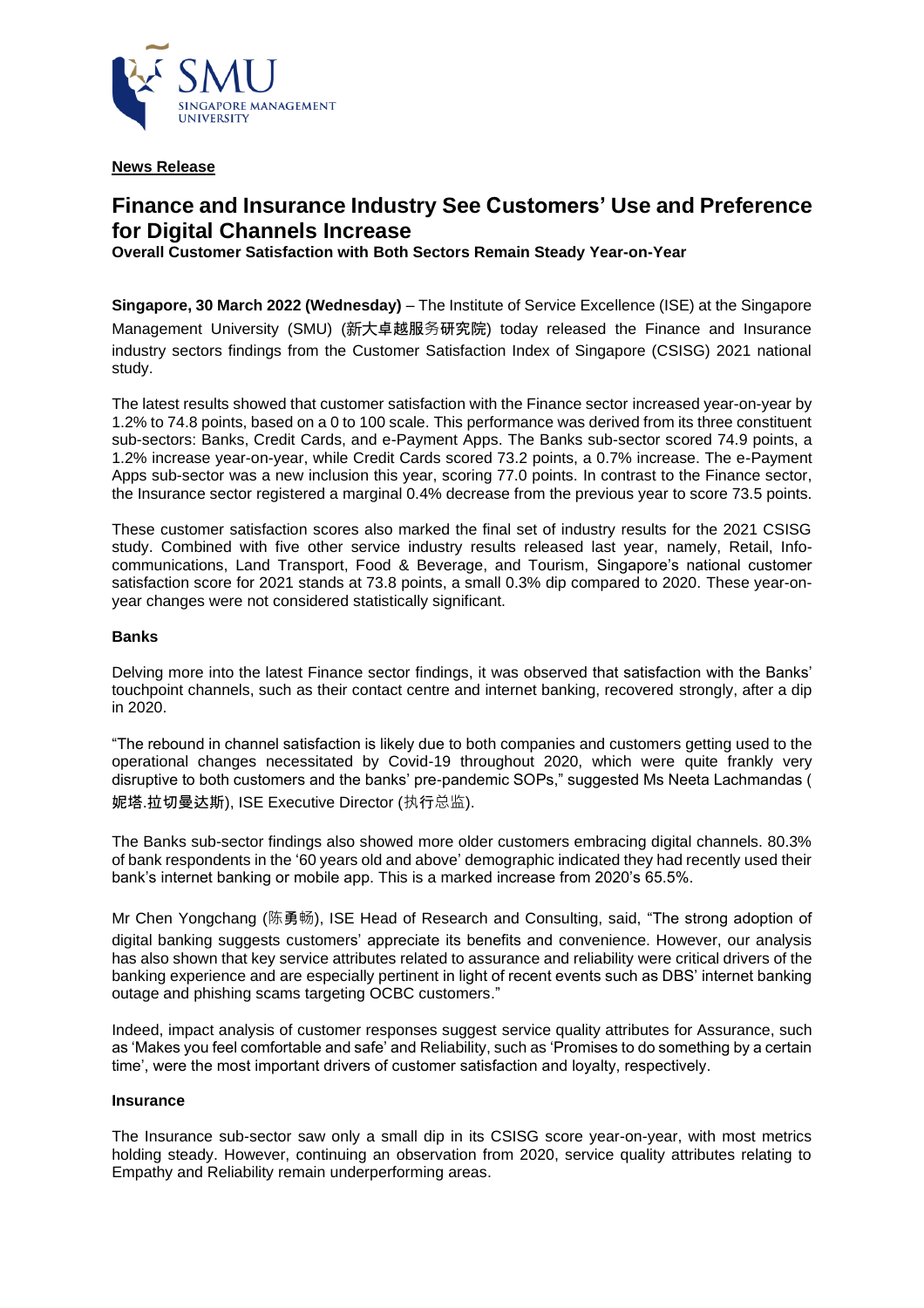

**News Release**

# **Finance and Insurance Industry See Customers' Use and Preference for Digital Channels Increase**

**Overall Customer Satisfaction with Both Sectors Remain Steady Year-on-Year**

**Singapore, 30 March 2022 (Wednesday)** – The Institute of Service Excellence (ISE) at the Singapore Management University (SMU) (新大卓越服务研究院) today released the Finance and Insurance industry sectors findings from the Customer Satisfaction Index of Singapore (CSISG) 2021 national study.

The latest results showed that customer satisfaction with the Finance sector increased year-on-year by 1.2% to 74.8 points, based on a 0 to 100 scale. This performance was derived from its three constituent sub-sectors: Banks, Credit Cards, and e-Payment Apps. The Banks sub-sector scored 74.9 points, a 1.2% increase year-on-year, while Credit Cards scored 73.2 points, a 0.7% increase. The e-Payment Apps sub-sector was a new inclusion this year, scoring 77.0 points. In contrast to the Finance sector, the Insurance sector registered a marginal 0.4% decrease from the previous year to score 73.5 points.

These customer satisfaction scores also marked the final set of industry results for the 2021 CSISG study. Combined with five other service industry results released last year, namely, Retail, Infocommunications, Land Transport, Food & Beverage, and Tourism, Singapore's national customer satisfaction score for 2021 stands at 73.8 points, a small 0.3% dip compared to 2020. These year-onyear changes were not considered statistically significant.

## **Banks**

Delving more into the latest Finance sector findings, it was observed that satisfaction with the Banks' touchpoint channels, such as their contact centre and internet banking, recovered strongly, after a dip in 2020.

"The rebound in channel satisfaction is likely due to both companies and customers getting used to the operational changes necessitated by Covid-19 throughout 2020, which were quite frankly very disruptive to both customers and the banks' pre-pandemic SOPs," suggested Ms Neeta Lachmandas ( 妮塔.拉切曼达斯), ISE Executive Director (执行总监).

The Banks sub-sector findings also showed more older customers embracing digital channels. 80.3% of bank respondents in the '60 years old and above' demographic indicated they had recently used their bank's internet banking or mobile app. This is a marked increase from 2020's 65.5%.

Mr Chen Yongchang (陈勇畅), ISE Head of Research and Consulting, said, "The strong adoption of digital banking suggests customers' appreciate its benefits and convenience. However, our analysis has also shown that key service attributes related to assurance and reliability were critical drivers of the banking experience and are especially pertinent in light of recent events such as DBS' internet banking outage and phishing scams targeting OCBC customers."

Indeed, impact analysis of customer responses suggest service quality attributes for Assurance, such as 'Makes you feel comfortable and safe' and Reliability, such as 'Promises to do something by a certain time', were the most important drivers of customer satisfaction and loyalty, respectively.

## **Insurance**

The Insurance sub-sector saw only a small dip in its CSISG score year-on-year, with most metrics holding steady. However, continuing an observation from 2020, service quality attributes relating to Empathy and Reliability remain underperforming areas.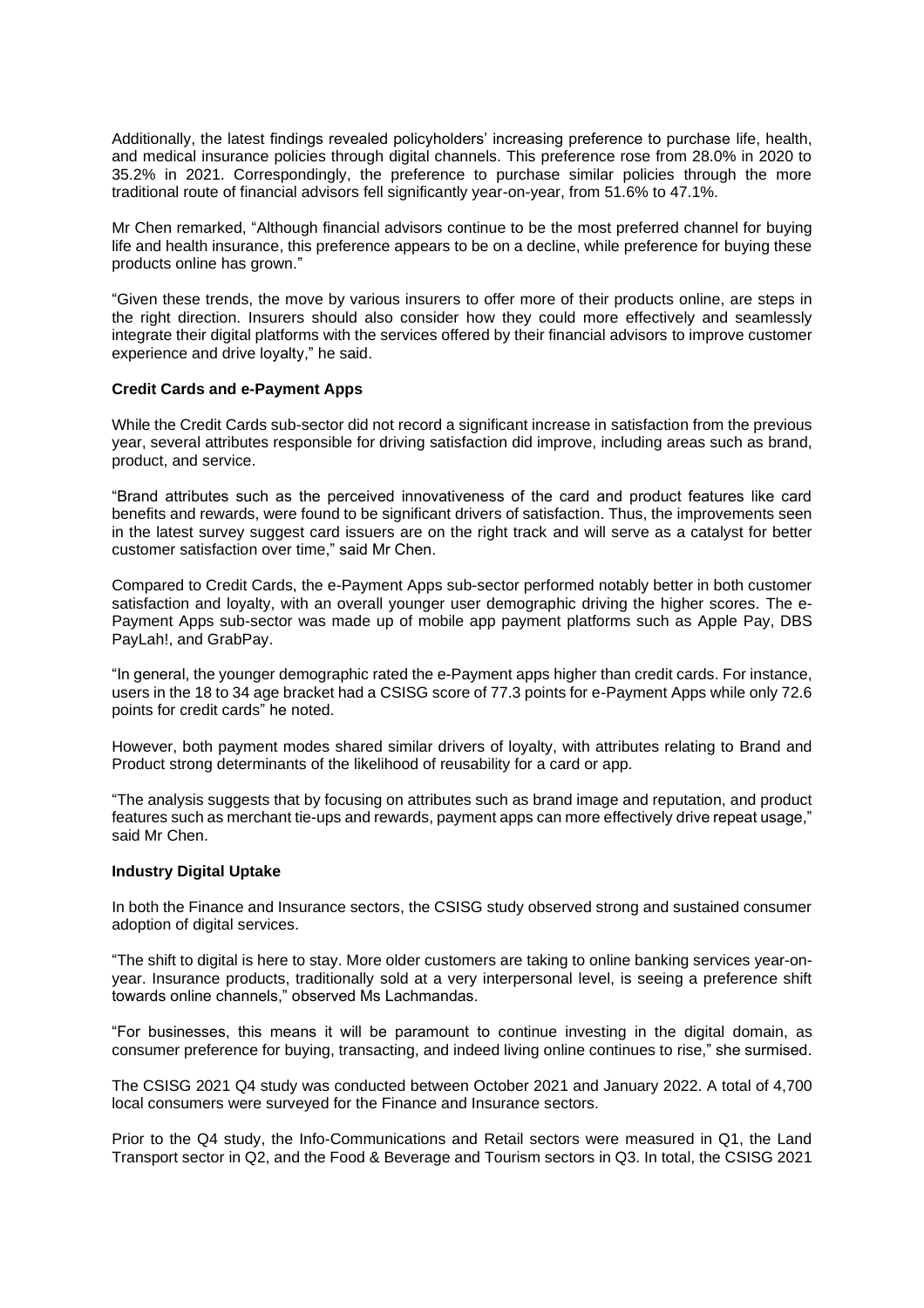Additionally, the latest findings revealed policyholders' increasing preference to purchase life, health, and medical insurance policies through digital channels. This preference rose from 28.0% in 2020 to 35.2% in 2021. Correspondingly, the preference to purchase similar policies through the more traditional route of financial advisors fell significantly year-on-year, from 51.6% to 47.1%.

Mr Chen remarked, "Although financial advisors continue to be the most preferred channel for buying life and health insurance, this preference appears to be on a decline, while preference for buying these products online has grown."

"Given these trends, the move by various insurers to offer more of their products online, are steps in the right direction. Insurers should also consider how they could more effectively and seamlessly integrate their digital platforms with the services offered by their financial advisors to improve customer experience and drive loyalty," he said.

### **Credit Cards and e-Payment Apps**

While the Credit Cards sub-sector did not record a significant increase in satisfaction from the previous year, several attributes responsible for driving satisfaction did improve, including areas such as brand, product, and service.

"Brand attributes such as the perceived innovativeness of the card and product features like card benefits and rewards, were found to be significant drivers of satisfaction. Thus, the improvements seen in the latest survey suggest card issuers are on the right track and will serve as a catalyst for better customer satisfaction over time," said Mr Chen.

Compared to Credit Cards, the e-Payment Apps sub-sector performed notably better in both customer satisfaction and loyalty, with an overall younger user demographic driving the higher scores. The e-Payment Apps sub-sector was made up of mobile app payment platforms such as Apple Pay, DBS PayLah!, and GrabPay.

"In general, the younger demographic rated the e-Payment apps higher than credit cards. For instance, users in the 18 to 34 age bracket had a CSISG score of 77.3 points for e-Payment Apps while only 72.6 points for credit cards" he noted.

However, both payment modes shared similar drivers of loyalty, with attributes relating to Brand and Product strong determinants of the likelihood of reusability for a card or app.

"The analysis suggests that by focusing on attributes such as brand image and reputation, and product features such as merchant tie-ups and rewards, payment apps can more effectively drive repeat usage," said Mr Chen.

#### **Industry Digital Uptake**

In both the Finance and Insurance sectors, the CSISG study observed strong and sustained consumer adoption of digital services.

"The shift to digital is here to stay. More older customers are taking to online banking services year-onyear. Insurance products, traditionally sold at a very interpersonal level, is seeing a preference shift towards online channels," observed Ms Lachmandas.

"For businesses, this means it will be paramount to continue investing in the digital domain, as consumer preference for buying, transacting, and indeed living online continues to rise," she surmised.

The CSISG 2021 Q4 study was conducted between October 2021 and January 2022. A total of 4,700 local consumers were surveyed for the Finance and Insurance sectors.

Prior to the Q4 study, the Info-Communications and Retail sectors were measured in Q1, the Land Transport sector in Q2, and the Food & Beverage and Tourism sectors in Q3. In total, the CSISG 2021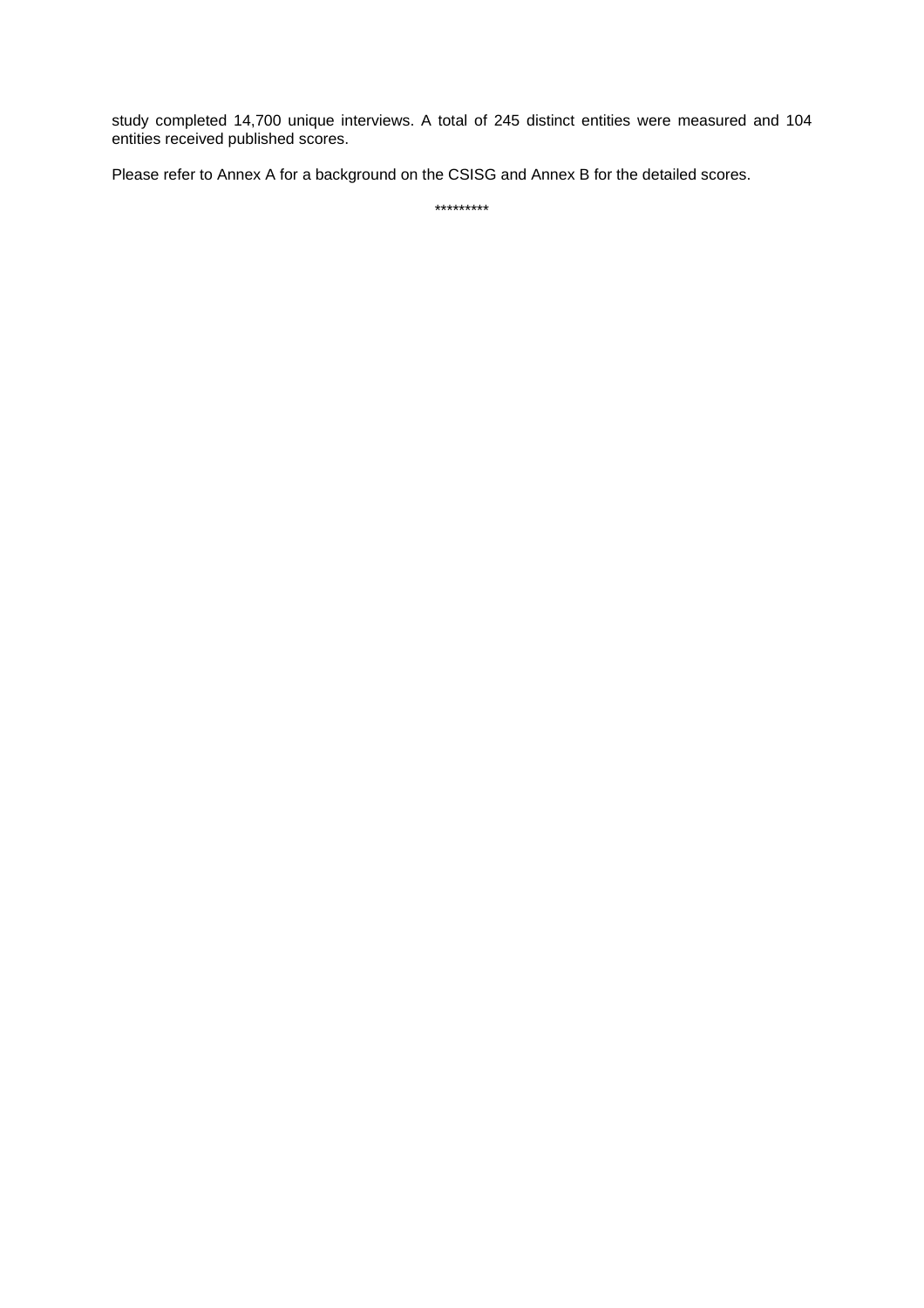study completed 14,700 unique interviews. A total of 245 distinct entities were measured and 104 entities received published scores.

Please refer to Annex A for a background on the CSISG and Annex B for the detailed scores.

\*\*\*\*\*\*\*\*\*